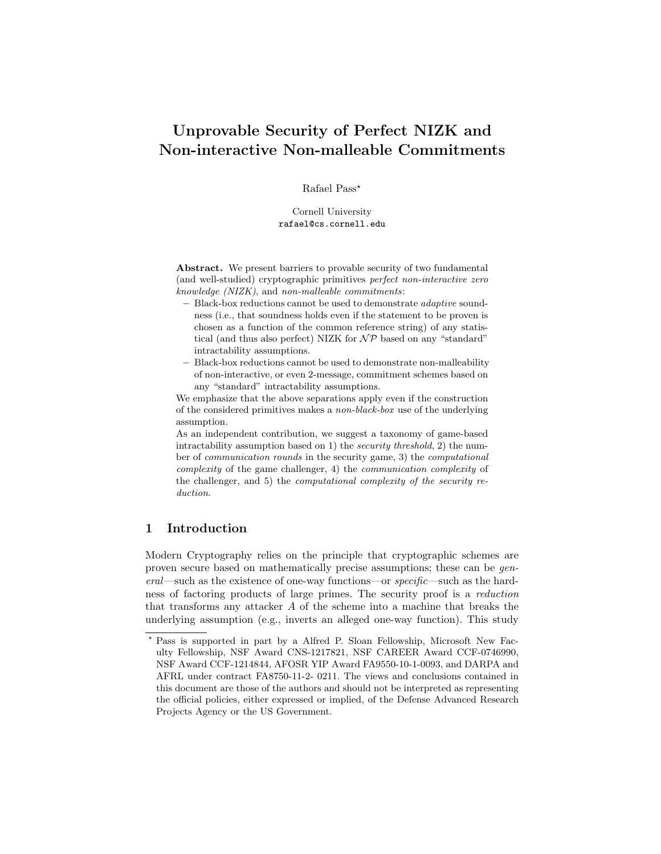# Unprovable Security of Perfect NIZK and Non-interactive Non-malleable Commitments

Rafael Pass?

Cornell University rafael@cs.cornell.edu

Abstract. We present barriers to provable security of two fundamental (and well-studied) cryptographic primitives perfect non-interactive zero knowledge (NIZK), and non-malleable commitments:

- Black-box reductions cannot be used to demonstrate *adaptive* soundness (i.e., that soundness holds even if the statement to be proven is chosen as a function of the common reference string) of any statistical (and thus also perfect) NIZK for  $\mathcal{NP}$  based on any "standard" intractability assumptions.
- Black-box reductions cannot be used to demonstrate non-malleability of non-interactive, or even 2-message, commitment schemes based on any "standard" intractability assumptions.

We emphasize that the above separations apply even if the construction of the considered primitives makes a non-black-box use of the underlying assumption.

As an independent contribution, we suggest a taxonomy of game-based intractability assumption based on 1) the security threshold, 2) the number of communication rounds in the security game, 3) the computational complexity of the game challenger, 4) the communication complexity of the challenger, and 5) the computational complexity of the security reduction.

## 1 Introduction

Modern Cryptography relies on the principle that cryptographic schemes are proven secure based on mathematically precise assumptions; these can be general—such as the existence of one-way functions—or specific—such as the hardness of factoring products of large primes. The security proof is a reduction that transforms any attacker A of the scheme into a machine that breaks the underlying assumption (e.g., inverts an alleged one-way function). This study

<sup>?</sup> Pass is supported in part by a Alfred P. Sloan Fellowship, Microsoft New Faculty Fellowship, NSF Award CNS-1217821, NSF CAREER Award CCF-0746990, NSF Award CCF-1214844, AFOSR YIP Award FA9550-10-1-0093, and DARPA and AFRL under contract FA8750-11-2- 0211. The views and conclusions contained in this document are those of the authors and should not be interpreted as representing the official policies, either expressed or implied, of the Defense Advanced Research Projects Agency or the US Government.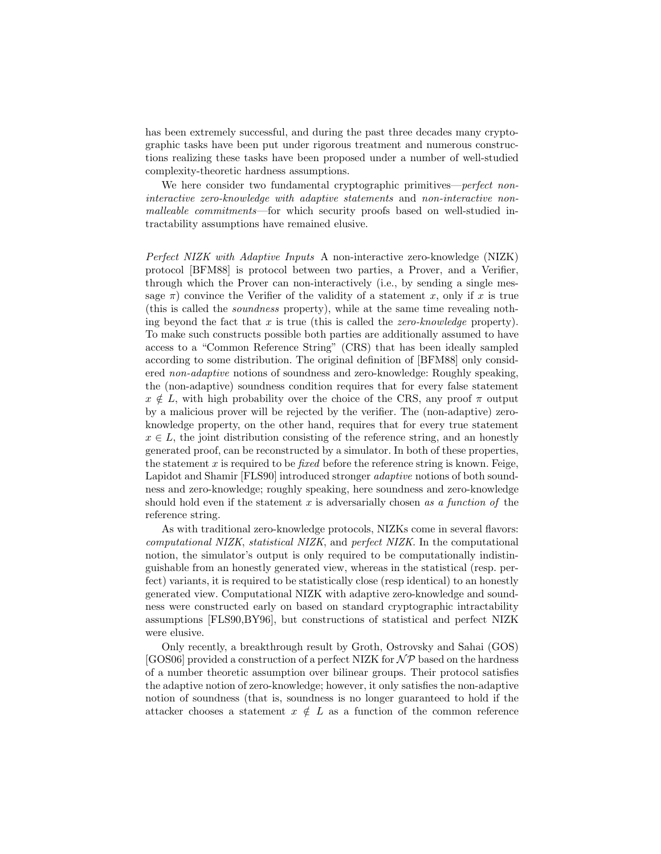has been extremely successful, and during the past three decades many cryptographic tasks have been put under rigorous treatment and numerous constructions realizing these tasks have been proposed under a number of well-studied complexity-theoretic hardness assumptions.

We here consider two fundamental cryptographic primitives—*perfect non*interactive zero-knowledge with adaptive statements and non-interactive nonmalleable commitments—for which security proofs based on well-studied intractability assumptions have remained elusive.

Perfect NIZK with Adaptive Inputs A non-interactive zero-knowledge (NIZK) protocol [BFM88] is protocol between two parties, a Prover, and a Verifier, through which the Prover can non-interactively (i.e., by sending a single message  $\pi$ ) convince the Verifier of the validity of a statement x, only if x is true (this is called the soundness property), while at the same time revealing nothing beyond the fact that x is true (this is called the zero-knowledge property). To make such constructs possible both parties are additionally assumed to have access to a "Common Reference String" (CRS) that has been ideally sampled according to some distribution. The original definition of [BFM88] only considered non-adaptive notions of soundness and zero-knowledge: Roughly speaking, the (non-adaptive) soundness condition requires that for every false statement  $x \notin L$ , with high probability over the choice of the CRS, any proof  $\pi$  output by a malicious prover will be rejected by the verifier. The (non-adaptive) zeroknowledge property, on the other hand, requires that for every true statement  $x \in L$ , the joint distribution consisting of the reference string, and an honestly generated proof, can be reconstructed by a simulator. In both of these properties, the statement  $x$  is required to be *fixed* before the reference string is known. Feige, Lapidot and Shamir [FLS90] introduced stronger adaptive notions of both soundness and zero-knowledge; roughly speaking, here soundness and zero-knowledge should hold even if the statement  $x$  is adversarially chosen as a function of the reference string.

As with traditional zero-knowledge protocols, NIZKs come in several flavors: computational NIZK, statistical NIZK, and perfect NIZK. In the computational notion, the simulator's output is only required to be computationally indistinguishable from an honestly generated view, whereas in the statistical (resp. perfect) variants, it is required to be statistically close (resp identical) to an honestly generated view. Computational NIZK with adaptive zero-knowledge and soundness were constructed early on based on standard cryptographic intractability assumptions [FLS90,BY96], but constructions of statistical and perfect NIZK were elusive.

Only recently, a breakthrough result by Groth, Ostrovsky and Sahai (GOS)  $[GOS06]$  provided a construction of a perfect NIZK for  $N\mathcal{P}$  based on the hardness of a number theoretic assumption over bilinear groups. Their protocol satisfies the adaptive notion of zero-knowledge; however, it only satisfies the non-adaptive notion of soundness (that is, soundness is no longer guaranteed to hold if the attacker chooses a statement  $x \notin L$  as a function of the common reference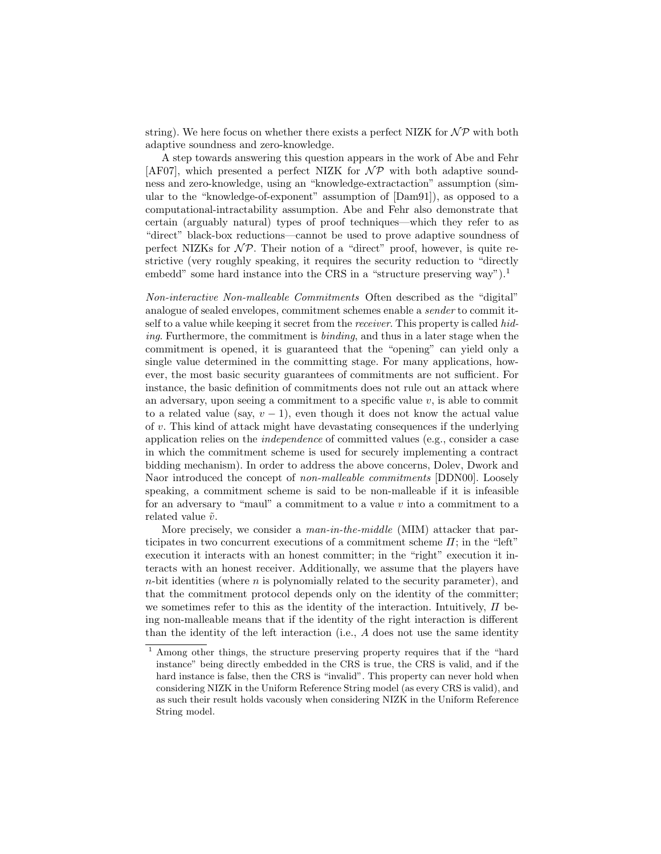string). We here focus on whether there exists a perfect NIZK for  $\mathcal{NP}$  with both adaptive soundness and zero-knowledge.

A step towards answering this question appears in the work of Abe and Fehr [AF07], which presented a perfect NIZK for  $\mathcal{NP}$  with both adaptive soundness and zero-knowledge, using an "knowledge-extractaction" assumption (simular to the "knowledge-of-exponent" assumption of [Dam91]), as opposed to a computational-intractability assumption. Abe and Fehr also demonstrate that certain (arguably natural) types of proof techniques—which they refer to as "direct" black-box reductions—cannot be used to prove adaptive soundness of perfect NIZKs for  $\mathcal{NP}$ . Their notion of a "direct" proof, however, is quite restrictive (very roughly speaking, it requires the security reduction to "directly embedd" some hard instance into the CRS in a "structure preserving way" $\cdot$ .<sup>1</sup>

Non-interactive Non-malleable Commitments Often described as the "digital" analogue of sealed envelopes, commitment schemes enable a sender to commit itself to a value while keeping it secret from the *receiver*. This property is called *hid*ing. Furthermore, the commitment is binding, and thus in a later stage when the commitment is opened, it is guaranteed that the "opening" can yield only a single value determined in the committing stage. For many applications, however, the most basic security guarantees of commitments are not sufficient. For instance, the basic definition of commitments does not rule out an attack where an adversary, upon seeing a commitment to a specific value  $v$ , is able to commit to a related value (say,  $v - 1$ ), even though it does not know the actual value of v. This kind of attack might have devastating consequences if the underlying application relies on the independence of committed values (e.g., consider a case in which the commitment scheme is used for securely implementing a contract bidding mechanism). In order to address the above concerns, Dolev, Dwork and Naor introduced the concept of non-malleable commitments [DDN00]. Loosely speaking, a commitment scheme is said to be non-malleable if it is infeasible for an adversary to "maul" a commitment to a value  $v$  into a commitment to a related value  $\tilde{v}$ .

More precisely, we consider a *man-in-the-middle* (MIM) attacker that participates in two concurrent executions of a commitment scheme  $\Pi$ ; in the "left" execution it interacts with an honest committer; in the "right" execution it interacts with an honest receiver. Additionally, we assume that the players have  $n$ -bit identities (where  $n$  is polynomially related to the security parameter), and that the commitment protocol depends only on the identity of the committer; we sometimes refer to this as the identity of the interaction. Intuitively,  $\Pi$  being non-malleable means that if the identity of the right interaction is different than the identity of the left interaction (i.e., A does not use the same identity

<sup>1</sup> Among other things, the structure preserving property requires that if the "hard instance" being directly embedded in the CRS is true, the CRS is valid, and if the hard instance is false, then the CRS is "invalid". This property can never hold when considering NIZK in the Uniform Reference String model (as every CRS is valid), and as such their result holds vacously when considering NIZK in the Uniform Reference String model.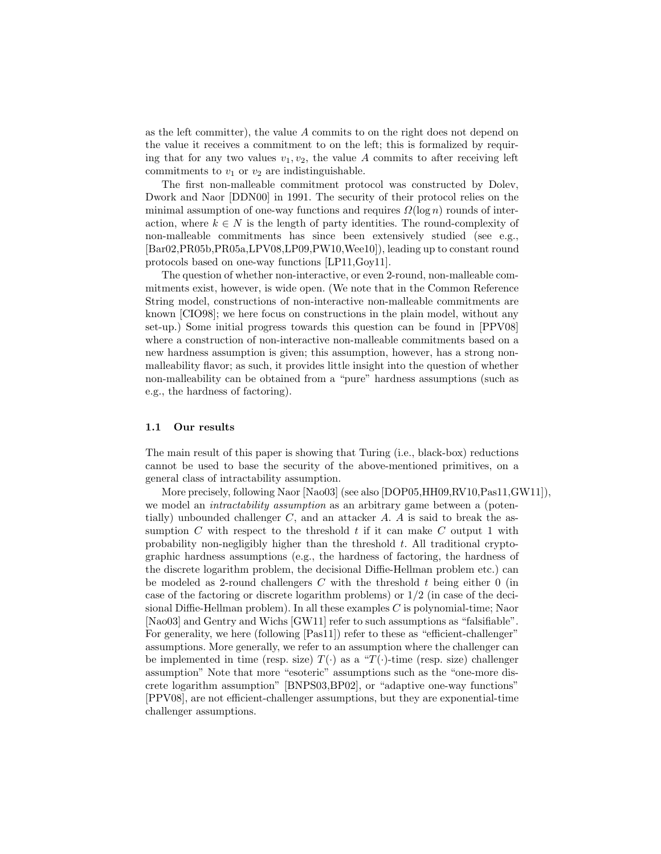as the left committer), the value A commits to on the right does not depend on the value it receives a commitment to on the left; this is formalized by requiring that for any two values  $v_1, v_2$ , the value A commits to after receiving left commitments to  $v_1$  or  $v_2$  are indistinguishable.

The first non-malleable commitment protocol was constructed by Dolev, Dwork and Naor [DDN00] in 1991. The security of their protocol relies on the minimal assumption of one-way functions and requires  $\Omega(\log n)$  rounds of interaction, where  $k \in N$  is the length of party identities. The round-complexity of non-malleable commitments has since been extensively studied (see e.g., [Bar02,PR05b,PR05a,LPV08,LP09,PW10,Wee10]), leading up to constant round protocols based on one-way functions [LP11,Goy11].

The question of whether non-interactive, or even 2-round, non-malleable commitments exist, however, is wide open. (We note that in the Common Reference String model, constructions of non-interactive non-malleable commitments are known [CIO98]; we here focus on constructions in the plain model, without any set-up.) Some initial progress towards this question can be found in [PPV08] where a construction of non-interactive non-malleable commitments based on a new hardness assumption is given; this assumption, however, has a strong nonmalleability flavor; as such, it provides little insight into the question of whether non-malleability can be obtained from a "pure" hardness assumptions (such as e.g., the hardness of factoring).

#### 1.1 Our results

The main result of this paper is showing that Turing (i.e., black-box) reductions cannot be used to base the security of the above-mentioned primitives, on a general class of intractability assumption.

More precisely, following Naor [Nao03] (see also [DOP05,HH09,RV10,Pas11,GW11]), we model an *intractability assumption* as an arbitrary game between a (potentially) unbounded challenger  $C$ , and an attacker  $A$ . A is said to break the assumption C with respect to the threshold t if it can make C output 1 with probability non-negligibly higher than the threshold  $t$ . All traditional cryptographic hardness assumptions (e.g., the hardness of factoring, the hardness of the discrete logarithm problem, the decisional Diffie-Hellman problem etc.) can be modeled as 2-round challengers C with the threshold t being either  $0$  (in case of the factoring or discrete logarithm problems) or 1/2 (in case of the decisional Diffie-Hellman problem). In all these examples  $C$  is polynomial-time; Naor [Nao03] and Gentry and Wichs [GW11] refer to such assumptions as "falsifiable". For generality, we here (following [Pas11]) refer to these as "efficient-challenger" assumptions. More generally, we refer to an assumption where the challenger can be implemented in time (resp. size)  $T(\cdot)$  as a " $T(\cdot)$ -time (resp. size) challenger assumption" Note that more "esoteric" assumptions such as the "one-more discrete logarithm assumption" [BNPS03,BP02], or "adaptive one-way functions" [PPV08], are not efficient-challenger assumptions, but they are exponential-time challenger assumptions.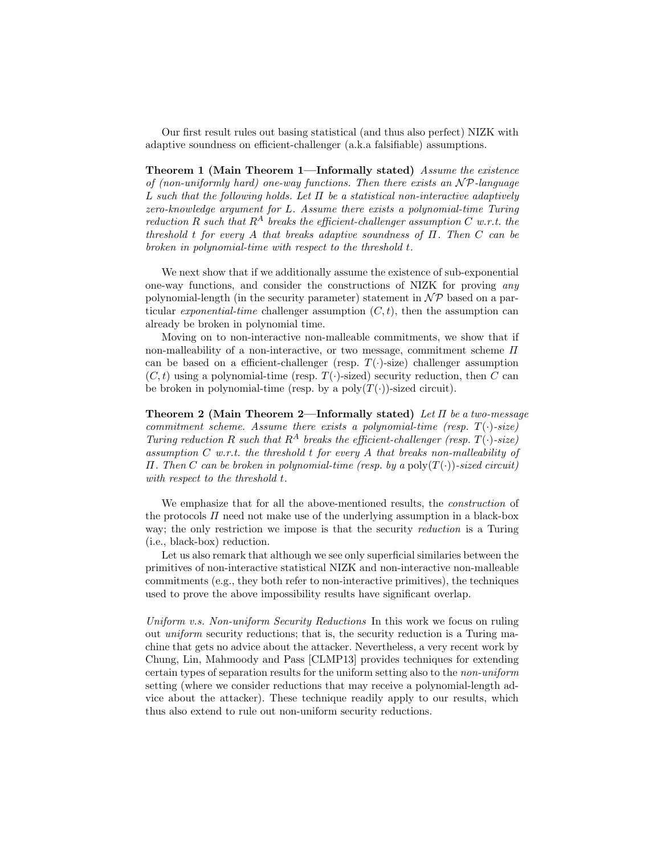Our first result rules out basing statistical (and thus also perfect) NIZK with adaptive soundness on efficient-challenger (a.k.a falsifiable) assumptions.

Theorem 1 (Main Theorem 1—Informally stated) Assume the existence of (non-uniformly hard) one-way functions. Then there exists an  $\mathcal{NP}\text{-}language$ L such that the following holds. Let  $\Pi$  be a statistical non-interactive adaptively zero-knowledge argument for L. Assume there exists a polynomial-time Turing reduction R such that  $R^A$  breaks the efficient-challenger assumption C w.r.t. the threshold t for every A that breaks adaptive soundness of  $\Pi$ . Then C can be broken in polynomial-time with respect to the threshold t.

We next show that if we additionally assume the existence of sub-exponential one-way functions, and consider the constructions of NIZK for proving any polynomial-length (in the security parameter) statement in  $\mathcal{NP}$  based on a particular exponential-time challenger assumption  $(C, t)$ , then the assumption can already be broken in polynomial time.

Moving on to non-interactive non-malleable commitments, we show that if non-malleability of a non-interactive, or two message, commitment scheme  $\Pi$ can be based on a efficient-challenger (resp.  $T(\cdot)$ -size) challenger assumption  $(C, t)$  using a polynomial-time (resp.  $T(\cdot)$ -sized) security reduction, then C can be broken in polynomial-time (resp. by a  $poly(T(\cdot))$ -sized circuit).

Theorem 2 (Main Theorem 2—Informally stated) Let  $\Pi$  be a two-message commitment scheme. Assume there exists a polynomial-time (resp.  $T(\cdot)$ -size) Turing reduction R such that  $R^A$  breaks the efficient-challenger (resp.  $T(\cdot)$ -size) assumption C w.r.t. the threshold t for every A that breaks non-malleability of  $\Pi$ . Then C can be broken in polynomial-time (resp. by a poly $(T(\cdot))$ -sized circuit) with respect to the threshold t.

We emphasize that for all the above-mentioned results, the construction of the protocols  $\Pi$  need not make use of the underlying assumption in a black-box way; the only restriction we impose is that the security reduction is a Turing (i.e., black-box) reduction.

Let us also remark that although we see only superficial similaries between the primitives of non-interactive statistical NIZK and non-interactive non-malleable commitments (e.g., they both refer to non-interactive primitives), the techniques used to prove the above impossibility results have significant overlap.

Uniform v.s. Non-uniform Security Reductions In this work we focus on ruling out uniform security reductions; that is, the security reduction is a Turing machine that gets no advice about the attacker. Nevertheless, a very recent work by Chung, Lin, Mahmoody and Pass [CLMP13] provides techniques for extending certain types of separation results for the uniform setting also to the non-uniform setting (where we consider reductions that may receive a polynomial-length advice about the attacker). These technique readily apply to our results, which thus also extend to rule out non-uniform security reductions.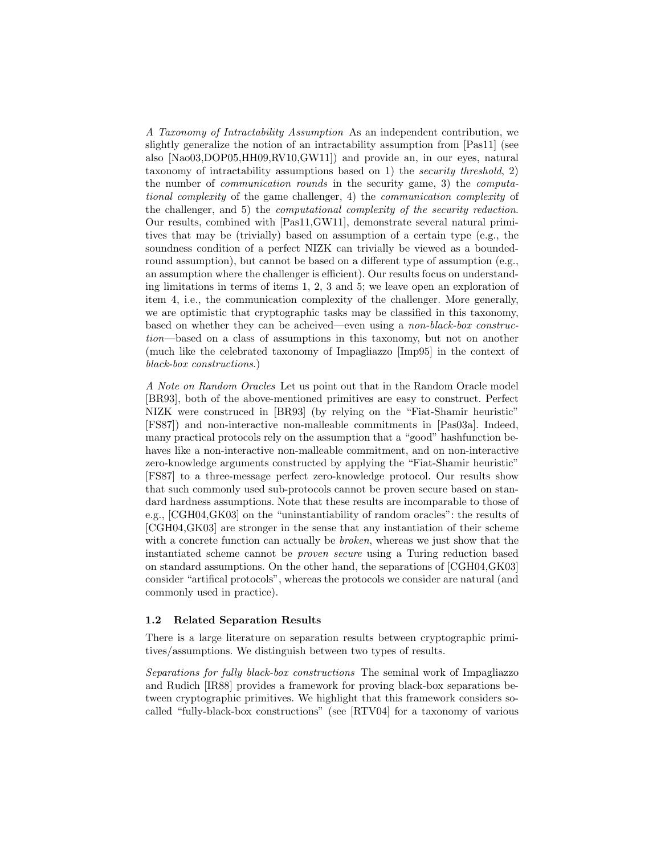A Taxonomy of Intractability Assumption As an independent contribution, we slightly generalize the notion of an intractability assumption from [Pas11] (see also [Nao03,DOP05,HH09,RV10,GW11]) and provide an, in our eyes, natural taxonomy of intractability assumptions based on 1) the security threshold, 2) the number of communication rounds in the security game, 3) the computational complexity of the game challenger, 4) the communication complexity of the challenger, and 5) the computational complexity of the security reduction. Our results, combined with [Pas11,GW11], demonstrate several natural primitives that may be (trivially) based on assumption of a certain type (e.g., the soundness condition of a perfect NIZK can trivially be viewed as a boundedround assumption), but cannot be based on a different type of assumption (e.g., an assumption where the challenger is efficient). Our results focus on understanding limitations in terms of items 1, 2, 3 and 5; we leave open an exploration of item 4, i.e., the communication complexity of the challenger. More generally, we are optimistic that cryptographic tasks may be classified in this taxonomy, based on whether they can be acheived—even using a non-black-box construction—based on a class of assumptions in this taxonomy, but not on another (much like the celebrated taxonomy of Impagliazzo [Imp95] in the context of black-box constructions.)

A Note on Random Oracles Let us point out that in the Random Oracle model [BR93], both of the above-mentioned primitives are easy to construct. Perfect NIZK were construced in [BR93] (by relying on the "Fiat-Shamir heuristic" [FS87]) and non-interactive non-malleable commitments in [Pas03a]. Indeed, many practical protocols rely on the assumption that a "good" hashfunction behaves like a non-interactive non-malleable commitment, and on non-interactive zero-knowledge arguments constructed by applying the "Fiat-Shamir heuristic" [FS87] to a three-message perfect zero-knowledge protocol. Our results show that such commonly used sub-protocols cannot be proven secure based on standard hardness assumptions. Note that these results are incomparable to those of e.g., [CGH04,GK03] on the "uninstantiability of random oracles": the results of [CGH04,GK03] are stronger in the sense that any instantiation of their scheme with a concrete function can actually be *broken*, whereas we just show that the instantiated scheme cannot be proven secure using a Turing reduction based on standard assumptions. On the other hand, the separations of [CGH04,GK03] consider "artifical protocols", whereas the protocols we consider are natural (and commonly used in practice).

#### 1.2 Related Separation Results

There is a large literature on separation results between cryptographic primitives/assumptions. We distinguish between two types of results.

Separations for fully black-box constructions The seminal work of Impagliazzo and Rudich [IR88] provides a framework for proving black-box separations between cryptographic primitives. We highlight that this framework considers socalled "fully-black-box constructions" (see [RTV04] for a taxonomy of various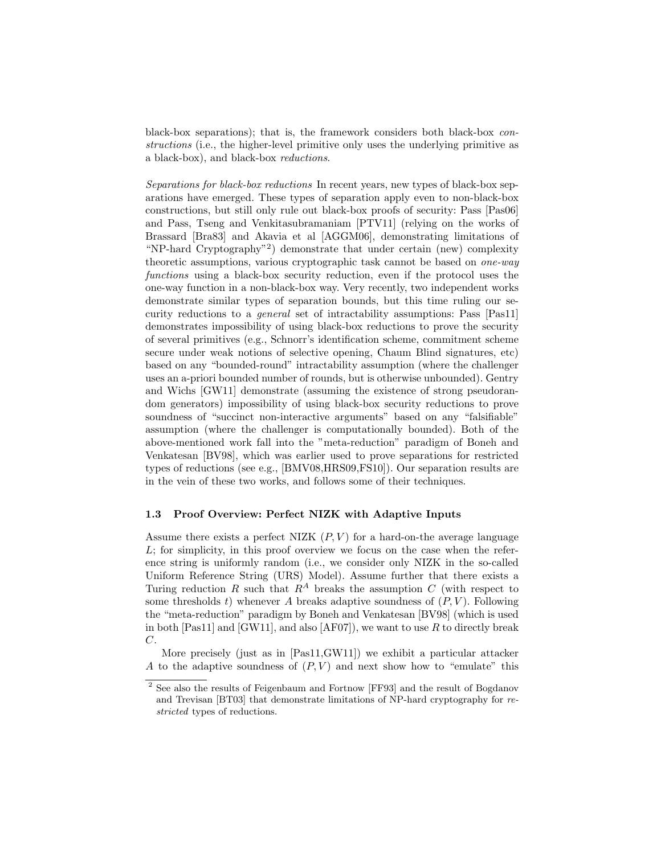black-box separations); that is, the framework considers both black-box constructions (i.e., the higher-level primitive only uses the underlying primitive as a black-box), and black-box reductions.

Separations for black-box reductions In recent years, new types of black-box separations have emerged. These types of separation apply even to non-black-box constructions, but still only rule out black-box proofs of security: Pass [Pas06] and Pass, Tseng and Venkitasubramaniam [PTV11] (relying on the works of Brassard [Bra83] and Akavia et al [AGGM06], demonstrating limitations of "NP-hard Cryptography"<sup>2</sup> ) demonstrate that under certain (new) complexity theoretic assumptions, various cryptographic task cannot be based on one-way functions using a black-box security reduction, even if the protocol uses the one-way function in a non-black-box way. Very recently, two independent works demonstrate similar types of separation bounds, but this time ruling our security reductions to a general set of intractability assumptions: Pass [Pas11] demonstrates impossibility of using black-box reductions to prove the security of several primitives (e.g., Schnorr's identification scheme, commitment scheme secure under weak notions of selective opening, Chaum Blind signatures, etc) based on any "bounded-round" intractability assumption (where the challenger uses an a-priori bounded number of rounds, but is otherwise unbounded). Gentry and Wichs [GW11] demonstrate (assuming the existence of strong pseudorandom generators) impossibility of using black-box security reductions to prove soundness of "succinct non-interactive arguments" based on any "falsifiable" assumption (where the challenger is computationally bounded). Both of the above-mentioned work fall into the "meta-reduction" paradigm of Boneh and Venkatesan [BV98], which was earlier used to prove separations for restricted types of reductions (see e.g., [BMV08,HRS09,FS10]). Our separation results are in the vein of these two works, and follows some of their techniques.

#### 1.3 Proof Overview: Perfect NIZK with Adaptive Inputs

Assume there exists a perfect NIZK  $(P, V)$  for a hard-on-the average language  $L$ ; for simplicity, in this proof overview we focus on the case when the reference string is uniformly random (i.e., we consider only NIZK in the so-called Uniform Reference String (URS) Model). Assume further that there exists a Turing reduction R such that  $R^A$  breaks the assumption C (with respect to some thresholds t) whenever A breaks adaptive soundness of  $(P, V)$ . Following the "meta-reduction" paradigm by Boneh and Venkatesan [BV98] (which is used in both [Pas11] and [GW11], and also [AF07]), we want to use  $R$  to directly break  $C$ .

More precisely (just as in [Pas11,GW11]) we exhibit a particular attacker A to the adaptive soundness of  $(P, V)$  and next show how to "emulate" this

<sup>&</sup>lt;sup>2</sup> See also the results of Feigenbaum and Fortnow [FF93] and the result of Bogdanov and Trevisan [BT03] that demonstrate limitations of NP-hard cryptography for restricted types of reductions.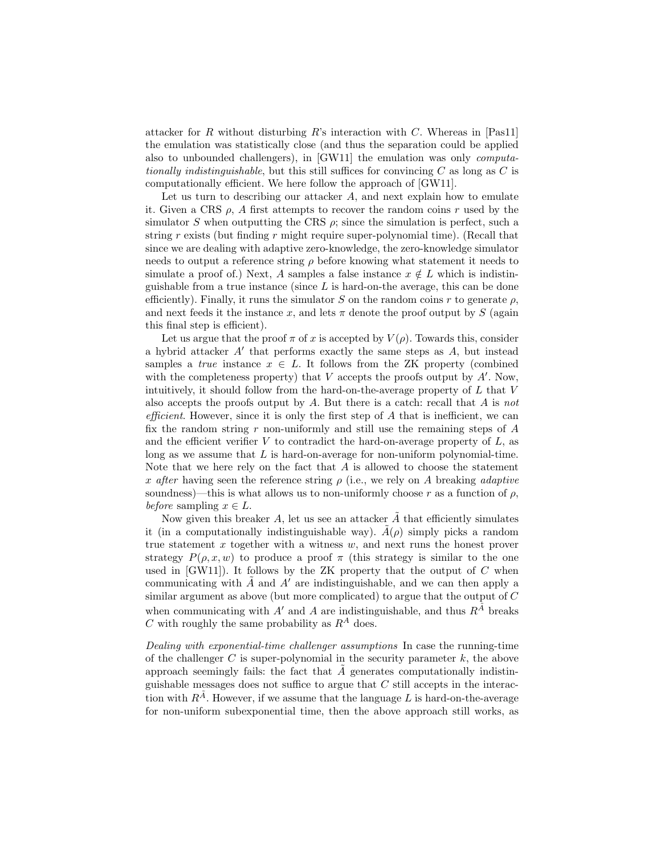attacker for R without disturbing R's interaction with C. Whereas in  $[Pas11]$ the emulation was statistically close (and thus the separation could be applied also to unbounded challengers), in [GW11] the emulation was only computationally indistinguishable, but this still suffices for convincing  $C$  as long as  $C$  is computationally efficient. We here follow the approach of [GW11].

Let us turn to describing our attacker  $A$ , and next explain how to emulate it. Given a CRS  $\rho$ , A first attempts to recover the random coins r used by the simulator S when outputting the CRS  $\rho$ ; since the simulation is perfect, such a string r exists (but finding r might require super-polynomial time). (Recall that since we are dealing with adaptive zero-knowledge, the zero-knowledge simulator needs to output a reference string  $\rho$  before knowing what statement it needs to simulate a proof of.) Next, A samples a false instance  $x \notin L$  which is indistinguishable from a true instance (since  $L$  is hard-on-the average, this can be done efficiently). Finally, it runs the simulator S on the random coins r to generate  $\rho$ , and next feeds it the instance x, and lets  $\pi$  denote the proof output by S (again this final step is efficient).

Let us argue that the proof  $\pi$  of x is accepted by  $V(\rho)$ . Towards this, consider a hybrid attacker  $A'$  that performs exactly the same steps as  $A$ , but instead samples a *true* instance  $x \in L$ . It follows from the ZK property (combined with the completeness property) that  $V$  accepts the proofs output by  $A'$ . Now, intuitively, it should follow from the hard-on-the-average property of  $L$  that  $V$ also accepts the proofs output by  $A$ . But there is a catch: recall that  $A$  is not  $efficient. However, since it is only the first step of  $A$  that is inefficient, we can$ fix the random string r non-uniformly and still use the remaining steps of  $A$ and the efficient verifier V to contradict the hard-on-average property of  $L$ , as long as we assume that  $L$  is hard-on-average for non-uniform polynomial-time. Note that we here rely on the fact that  $A$  is allowed to choose the statement x after having seen the reference string  $\rho$  (i.e., we rely on A breaking *adaptive* soundness)—this is what allows us to non-uniformly choose r as a function of  $\rho$ , before sampling  $x \in L$ .

Now given this breaker  $A$ , let us see an attacker  $A$  that efficiently simulates it (in a computationally indistinguishable way).  $A(\rho)$  simply picks a random true statement  $x$  together with a witness  $w$ , and next runs the honest prover strategy  $P(\rho, x, w)$  to produce a proof  $\pi$  (this strategy is similar to the one used in  $[GW11]$ . It follows by the ZK property that the output of C when communicating with A and  $A'$  are indistinguishable, and we can then apply a similar argument as above (but more complicated) to argue that the output of C when communicating with  $A'$  and  $A$  are indistinguishable, and thus  $R^{\tilde{A}}$  breaks C with roughly the same probability as  $R^A$  does.

Dealing with exponential-time challenger assumptions In case the running-time of the challenger  $C$  is super-polynomial in the security parameter  $k$ , the above approach seemingly fails: the fact that  $A$  generates computationally indistinguishable messages does not suffice to argue that  $C$  still accepts in the interaction with  $R^{\tilde{A}}$ . However, if we assume that the language L is hard-on-the-average for non-uniform subexponential time, then the above approach still works, as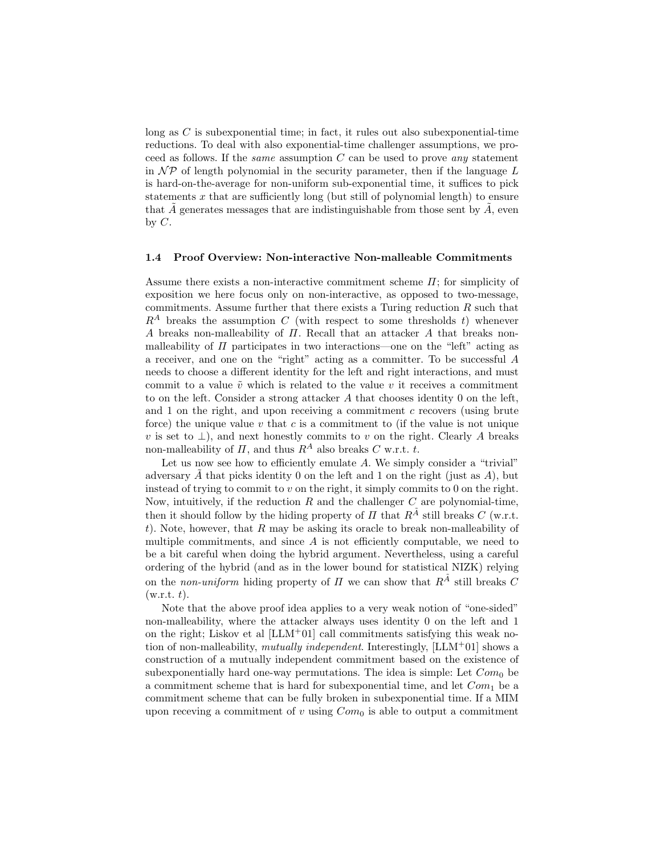long as  $C$  is subexponential time; in fact, it rules out also subexponential-time reductions. To deal with also exponential-time challenger assumptions, we proceed as follows. If the *same* assumption  $C$  can be used to prove *any* statement in  $\mathcal{NP}$  of length polynomial in the security parameter, then if the language L is hard-on-the-average for non-uniform sub-exponential time, it suffices to pick statements  $x$  that are sufficiently long (but still of polynomial length) to ensure that A generates messages that are indistinguishable from those sent by  $A$ , even by  $C$ .

#### 1.4 Proof Overview: Non-interactive Non-malleable Commitments

Assume there exists a non-interactive commitment scheme  $\Pi$ ; for simplicity of exposition we here focus only on non-interactive, as opposed to two-message, commitments. Assume further that there exists a Turing reduction  $R$  such that  $R<sup>A</sup>$  breaks the assumption C (with respect to some thresholds t) whenever A breaks non-malleability of  $\Pi$ . Recall that an attacker A that breaks nonmalleability of  $\Pi$  participates in two interactions—one on the "left" acting as a receiver, and one on the "right" acting as a committer. To be successful A needs to choose a different identity for the left and right interactions, and must commit to a value  $\tilde{v}$  which is related to the value v it receives a commitment to on the left. Consider a strong attacker  $A$  that chooses identity 0 on the left, and 1 on the right, and upon receiving a commitment  $c$  recovers (using brute force) the unique value v that c is a commitment to (if the value is not unique v is set to  $\perp$ ), and next honestly commits to v on the right. Clearly A breaks non-malleability of  $\Pi$ , and thus  $R^A$  also breaks C w.r.t. t.

Let us now see how to efficiently emulate A. We simply consider a "trivial" adversary A that picks identity 0 on the left and 1 on the right (just as  $A$ ), but instead of trying to commit to  $v$  on the right, it simply commits to 0 on the right. Now, intuitively, if the reduction  $R$  and the challenger  $C$  are polynomial-time, then it should follow by the hiding property of  $\Pi$  that  $R^{\tilde{A}}$  still breaks  $C$  (w.r.t. t). Note, however, that  $R$  may be asking its oracle to break non-malleability of multiple commitments, and since  $A$  is not efficiently computable, we need to be a bit careful when doing the hybrid argument. Nevertheless, using a careful ordering of the hybrid (and as in the lower bound for statistical NIZK) relying on the *non-uniform* hiding property of  $\Pi$  we can show that  $R^{\tilde{A}}$  still breaks C  $(w.r.t. t).$ 

Note that the above proof idea applies to a very weak notion of "one-sided" non-malleability, where the attacker always uses identity 0 on the left and 1 on the right; Liskov et al  $[LLM+01]$  call commitments satisfying this weak notion of non-malleability, mutually independent. Interestingly,  $[LLM+01]$  shows a construction of a mutually independent commitment based on the existence of subexponentially hard one-way permutations. The idea is simple: Let  $Com_0$  be a commitment scheme that is hard for subexponential time, and let  $Com_1$  be a commitment scheme that can be fully broken in subexponential time. If a MIM upon receving a commitment of v using  $Com_0$  is able to output a commitment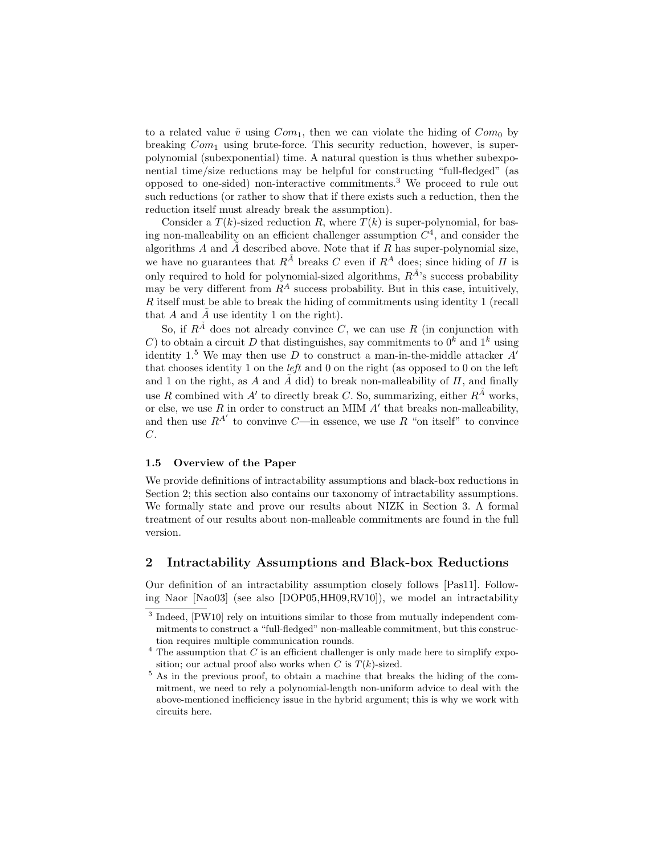to a related value  $\tilde{v}$  using  $Com_1$ , then we can violate the hiding of  $Com_0$  by breaking  $Com_1$  using brute-force. This security reduction, however, is superpolynomial (subexponential) time. A natural question is thus whether subexponential time/size reductions may be helpful for constructing "full-fledged" (as opposed to one-sided) non-interactive commitments.<sup>3</sup> We proceed to rule out such reductions (or rather to show that if there exists such a reduction, then the reduction itself must already break the assumption).

Consider a  $T(k)$ -sized reduction R, where  $T(k)$  is super-polynomial, for basing non-malleability on an efficient challenger assumption  $C<sup>4</sup>$ , and consider the algorithms A and  $\tilde{A}$  described above. Note that if R has super-polynomial size, we have no guarantees that  $R^{\tilde{A}}$  breaks C even if  $R^A$  does; since hiding of  $\Pi$  is only required to hold for polynomial-sized algorithms,  $R^{\tilde{A}}$ 's success probability may be very different from  $R^A$  success probability. But in this case, intuitively, R itself must be able to break the hiding of commitments using identity 1 (recall that A and  $\tilde{A}$  use identity 1 on the right).

So, if  $R^{\tilde{A}}$  does not already convince C, we can use R (in conjunction with C) to obtain a circuit D that distinguishes, say commitments to  $0^k$  and  $1^k$  using identity 1.<sup>5</sup> We may then use D to construct a man-in-the-middle attacker  $A<sup>'</sup>$ that chooses identity 1 on the left and 0 on the right (as opposed to 0 on the left and 1 on the right, as A and A did) to break non-malleability of  $\Pi$ , and finally use R combined with A' to directly break C. So, summarizing, either  $R^{\tilde{A}}$  works, or else, we use  $R$  in order to construct an MIM  $A'$  that breaks non-malleability, and then use  $R^{A'}$  to convinve C—in essence, we use R "on itself" to convince  $C$ .

#### 1.5 Overview of the Paper

We provide definitions of intractability assumptions and black-box reductions in Section 2; this section also contains our taxonomy of intractability assumptions. We formally state and prove our results about NIZK in Section 3. A formal treatment of our results about non-malleable commitments are found in the full version.

## 2 Intractability Assumptions and Black-box Reductions

Our definition of an intractability assumption closely follows [Pas11]. Following Naor [Nao03] (see also [DOP05,HH09,RV10]), we model an intractability

<sup>&</sup>lt;sup>3</sup> Indeed, [PW10] rely on intuitions similar to those from mutually independent commitments to construct a "full-fledged" non-malleable commitment, but this construction requires multiple communication rounds.

 $4$  The assumption that  $C$  is an efficient challenger is only made here to simplify exposition; our actual proof also works when C is  $T(k)$ -sized.

<sup>5</sup> As in the previous proof, to obtain a machine that breaks the hiding of the commitment, we need to rely a polynomial-length non-uniform advice to deal with the above-mentioned inefficiency issue in the hybrid argument; this is why we work with circuits here.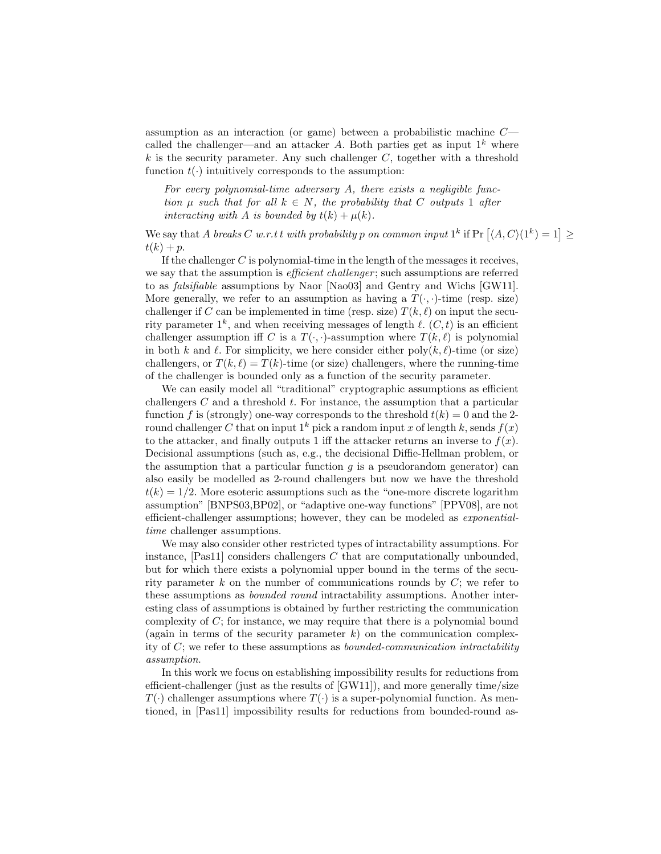assumption as an interaction (or game) between a probabilistic machine C called the challenger—and an attacker A. Both parties get as input  $1^k$  where  $k$  is the security parameter. Any such challenger  $C$ , together with a threshold function  $t(\cdot)$  intuitively corresponds to the assumption:

For every polynomial-time adversary A, there exists a negligible function  $\mu$  such that for all  $k \in N$ , the probability that C outputs 1 after interacting with A is bounded by  $t(k) + \mu(k)$ .

We say that A breaks C w.r.t t with probability p on common input  $1^k$  if  $Pr\left[ \langle A, C \rangle (1^k) = 1 \right] \geq$  $t(k) + p$ .

If the challenger  $C$  is polynomial-time in the length of the messages it receives, we say that the assumption is *efficient challenger*; such assumptions are referred to as falsifiable assumptions by Naor [Nao03] and Gentry and Wichs [GW11]. More generally, we refer to an assumption as having a  $T(\cdot, \cdot)$ -time (resp. size) challenger if C can be implemented in time (resp. size)  $T(k, \ell)$  on input the security parameter  $1^k$ , and when receiving messages of length  $\ell$ .  $(C, t)$  is an efficient challenger assumption iff C is a  $T(\cdot, \cdot)$ -assumption where  $T(k, \ell)$  is polynomial in both k and l. For simplicity, we here consider either poly $(k, \ell)$ -time (or size) challengers, or  $T(k, \ell) = T(k)$ -time (or size) challengers, where the running-time of the challenger is bounded only as a function of the security parameter.

We can easily model all "traditional" cryptographic assumptions as efficient challengers  $C$  and a threshold  $t$ . For instance, the assumption that a particular function f is (strongly) one-way corresponds to the threshold  $t(k) = 0$  and the 2round challenger C that on input  $1^k$  pick a random input x of length k, sends  $f(x)$ to the attacker, and finally outputs 1 iff the attacker returns an inverse to  $f(x)$ . Decisional assumptions (such as, e.g., the decisional Diffie-Hellman problem, or the assumption that a particular function  $q$  is a pseudorandom generator) can also easily be modelled as 2-round challengers but now we have the threshold  $t(k) = 1/2$ . More esoteric assumptions such as the "one-more discrete logarithm" assumption" [BNPS03,BP02], or "adaptive one-way functions" [PPV08], are not efficient-challenger assumptions; however, they can be modeled as exponentialtime challenger assumptions.

We may also consider other restricted types of intractability assumptions. For instance,  $[Pas11]$  considers challengers  $C$  that are computationally unbounded, but for which there exists a polynomial upper bound in the terms of the security parameter k on the number of communications rounds by  $C$ ; we refer to these assumptions as bounded round intractability assumptions. Another interesting class of assumptions is obtained by further restricting the communication complexity of C; for instance, we may require that there is a polynomial bound (again in terms of the security parameter  $k$ ) on the communication complexity of  $C$ ; we refer to these assumptions as *bounded-communication intractability* assumption.

In this work we focus on establishing impossibility results for reductions from efficient-challenger (just as the results of [GW11]), and more generally time/size  $T(\cdot)$  challenger assumptions where  $T(\cdot)$  is a super-polynomial function. As mentioned, in [Pas11] impossibility results for reductions from bounded-round as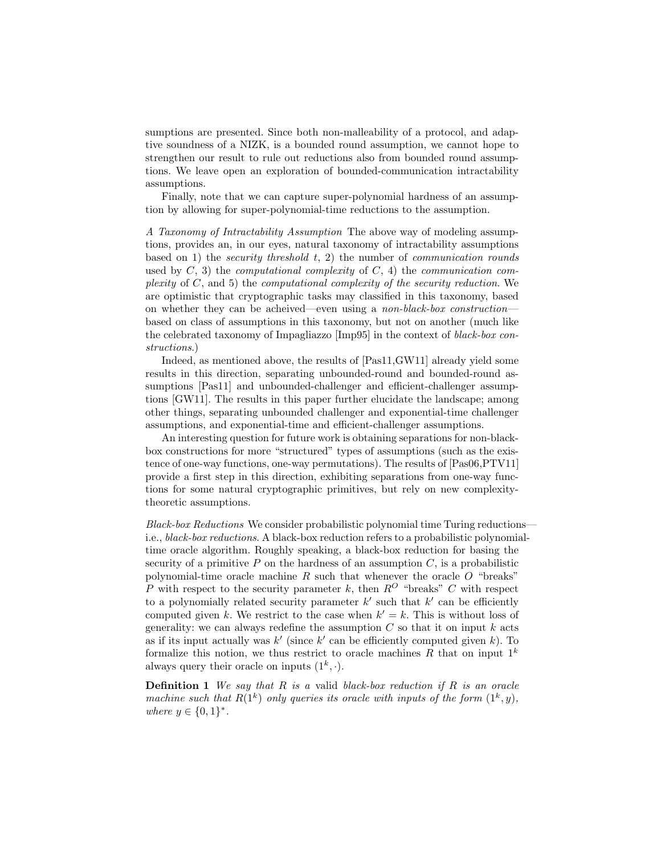sumptions are presented. Since both non-malleability of a protocol, and adaptive soundness of a NIZK, is a bounded round assumption, we cannot hope to strengthen our result to rule out reductions also from bounded round assumptions. We leave open an exploration of bounded-communication intractability assumptions.

Finally, note that we can capture super-polynomial hardness of an assumption by allowing for super-polynomial-time reductions to the assumption.

A Taxonomy of Intractability Assumption The above way of modeling assumptions, provides an, in our eyes, natural taxonomy of intractability assumptions based on 1) the *security threshold*  $t$ , 2) the number of *communication rounds* used by  $C, 3$ ) the *computational complexity* of  $C, 4$ ) the *communication com*plexity of C, and 5) the computational complexity of the security reduction. We are optimistic that cryptographic tasks may classified in this taxonomy, based on whether they can be acheived—even using a non-black-box construction based on class of assumptions in this taxonomy, but not on another (much like the celebrated taxonomy of Impagliazzo [Imp95] in the context of black-box constructions.)

Indeed, as mentioned above, the results of [Pas11,GW11] already yield some results in this direction, separating unbounded-round and bounded-round assumptions [Pas11] and unbounded-challenger and efficient-challenger assumptions [GW11]. The results in this paper further elucidate the landscape; among other things, separating unbounded challenger and exponential-time challenger assumptions, and exponential-time and efficient-challenger assumptions.

An interesting question for future work is obtaining separations for non-blackbox constructions for more "structured" types of assumptions (such as the existence of one-way functions, one-way permutations). The results of [Pas06,PTV11] provide a first step in this direction, exhibiting separations from one-way functions for some natural cryptographic primitives, but rely on new complexitytheoretic assumptions.

Black-box Reductions We consider probabilistic polynomial time Turing reductions i.e., black-box reductions. A black-box reduction refers to a probabilistic polynomialtime oracle algorithm. Roughly speaking, a black-box reduction for basing the security of a primitive  $P$  on the hardness of an assumption  $C$ , is a probabilistic polynomial-time oracle machine  $R$  such that whenever the oracle  $O$  "breaks" P with respect to the security parameter k, then  $R^O$  "breaks" C with respect to a polynomially related security parameter  $k'$  such that  $k'$  can be efficiently computed given k. We restrict to the case when  $k' = k$ . This is without loss of generality: we can always redefine the assumption  $C$  so that it on input  $k$  acts as if its input actually was  $k'$  (since  $k'$  can be efficiently computed given k). To formalize this notion, we thus restrict to oracle machines R that on input  $1^k$ always query their oracle on inputs  $(1^k, \cdot)$ .

**Definition 1** We say that  $R$  is a valid black-box reduction if  $R$  is an oracle machine such that  $R(1^k)$  only queries its oracle with inputs of the form  $(1^k, y)$ , where  $y \in \{0, 1\}^*$ .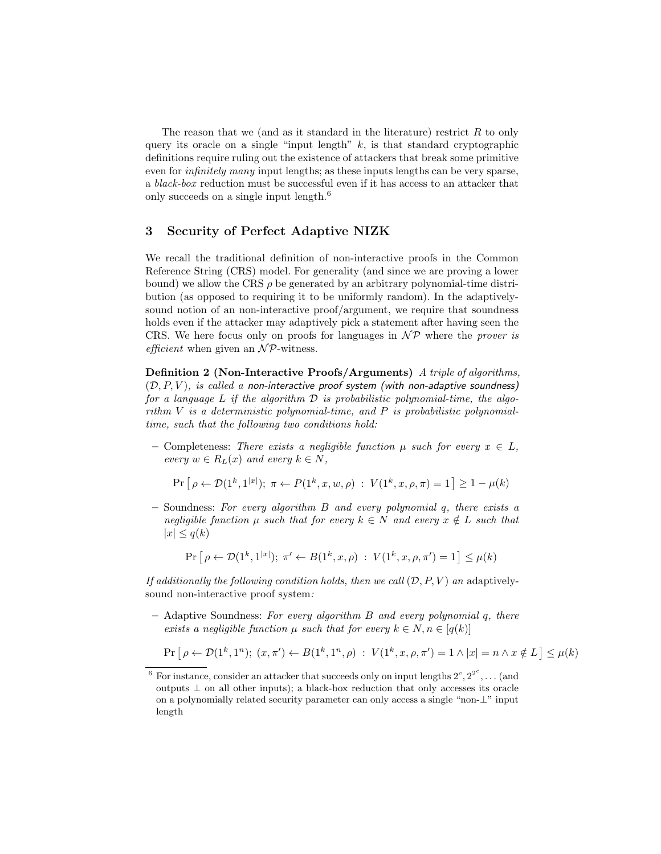The reason that we (and as it standard in the literature) restrict  $R$  to only query its oracle on a single "input length"  $k$ , is that standard cryptographic definitions require ruling out the existence of attackers that break some primitive even for infinitely many input lengths; as these inputs lengths can be very sparse, a black-box reduction must be successful even if it has access to an attacker that only succeeds on a single input length.<sup>6</sup>

# 3 Security of Perfect Adaptive NIZK

We recall the traditional definition of non-interactive proofs in the Common Reference String (CRS) model. For generality (and since we are proving a lower bound) we allow the CRS  $\rho$  be generated by an arbitrary polynomial-time distribution (as opposed to requiring it to be uniformly random). In the adaptivelysound notion of an non-interactive proof/argument, we require that soundness holds even if the attacker may adaptively pick a statement after having seen the CRS. We here focus only on proofs for languages in  $\mathcal{NP}$  where the prover is efficient when given an  $\mathcal{NP}$ -witness.

Definition 2 (Non-Interactive Proofs/Arguments) A triple of algorithms,  $(D, P, V)$ , is called a non-interactive proof system (with non-adaptive soundness) for a language L if the algorithm  $\mathcal D$  is probabilistic polynomial-time, the algorithm  $V$  is a deterministic polynomial-time, and  $P$  is probabilistic polynomialtime, such that the following two conditions hold:

– Completeness: There exists a negligible function  $\mu$  such for every  $x \in L$ , every  $w \in R_L(x)$  and every  $k \in N$ ,

$$
Pr [ \rho \leftarrow \mathcal{D}(1^k, 1^{|x|}); \ \pi \leftarrow P(1^k, x, w, \rho) : V(1^k, x, \rho, \pi) = 1 ] \ge 1 - \mu(k)
$$

– Soundness: For every algorithm B and every polynomial q, there exists a negligible function  $\mu$  such that for every  $k \in N$  and every  $x \notin L$  such that  $|x| \leq q(k)$ 

$$
\Pr[\rho \leftarrow \mathcal{D}(1^k, 1^{|x|}); \ \pi' \leftarrow B(1^k, x, \rho) \ : \ V(1^k, x, \rho, \pi') = 1 \ \leq \mu(k)
$$

If additionally the following condition holds, then we call  $(D, P, V)$  an adaptivelysound non-interactive proof system:

 $-$  Adaptive Soundness: For every algorithm  $B$  and every polynomial  $q$ , there exists a negligible function  $\mu$  such that for every  $k \in N, n \in [q(k)]$ 

$$
\Pr\left[\rho \leftarrow \mathcal{D}(1^k, 1^n); (x, \pi') \leftarrow B(1^k, 1^n, \rho) : V(1^k, x, \rho, \pi') = 1 \land |x| = n \land x \notin L\right] \le \mu(k)
$$

<sup>&</sup>lt;sup>6</sup> For instance, consider an attacker that succeeds only on input lengths  $2^c, 2^{2^c}, \ldots$  (and outputs  $\perp$  on all other inputs); a black-box reduction that only accesses its oracle on a polynomially related security parameter can only access a single "non-⊥" input length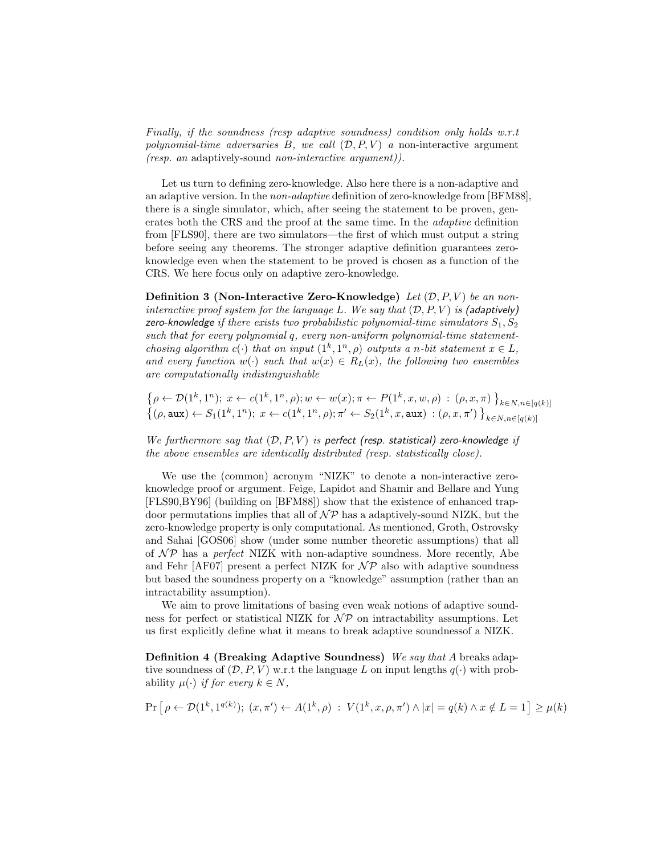Finally, if the soundness (resp adaptive soundness) condition only holds w.r.t polynomial-time adversaries B, we call  $(D, P, V)$  a non-interactive argument (resp. an adaptively-sound non-interactive argument)).

Let us turn to defining zero-knowledge. Also here there is a non-adaptive and an adaptive version. In the non-adaptive definition of zero-knowledge from [BFM88], there is a single simulator, which, after seeing the statement to be proven, generates both the CRS and the proof at the same time. In the adaptive definition from [FLS90], there are two simulators—the first of which must output a string before seeing any theorems. The stronger adaptive definition guarantees zeroknowledge even when the statement to be proved is chosen as a function of the CRS. We here focus only on adaptive zero-knowledge.

**Definition 3 (Non-Interactive Zero-Knowledge)** Let  $(D, P, V)$  be an noninteractive proof system for the language L. We say that  $(D, P, V)$  is (adaptively) zero-knowledge if there exists two probabilistic polynomial-time simulators  $S_1, S_2$ such that for every polynomial q, every non-uniform polynomial-time statementchosing algorithm  $c(\cdot)$  that on input  $(1^k, 1^n, \rho)$  outputs a n-bit statement  $x \in L$ , and every function  $w(\cdot)$  such that  $w(x) \in R_L(x)$ , the following two ensembles are computationally indistinguishable

$$
\{\rho \leftarrow \mathcal{D}(1^k, 1^n); x \leftarrow c(1^k, 1^n, \rho); w \leftarrow w(x); \pi \leftarrow P(1^k, x, w, \rho) : (\rho, x, \pi) \}_{k \in N, n \in [q(k)]}
$$
  

$$
\{(\rho, aux) \leftarrow S_1(1^k, 1^n); x \leftarrow c(1^k, 1^n, \rho); \pi' \leftarrow S_2(1^k, x, aux) : (\rho, x, \pi') \}_{k \in N, n \in [q(k)]}
$$

We furthermore say that  $(D, P, V)$  is perfect (resp. statistical) zero-knowledge if the above ensembles are identically distributed (resp. statistically close).

We use the (common) acronym "NIZK" to denote a non-interactive zeroknowledge proof or argument. Feige, Lapidot and Shamir and Bellare and Yung [FLS90,BY96] (building on [BFM88]) show that the existence of enhanced trapdoor permutations implies that all of  $\mathcal{NP}$  has a adaptively-sound NIZK, but the zero-knowledge property is only computational. As mentioned, Groth, Ostrovsky and Sahai [GOS06] show (under some number theoretic assumptions) that all of  $\mathcal{NP}$  has a perfect NIZK with non-adaptive soundness. More recently, Abe and Fehr [AF07] present a perfect NIZK for  $\mathcal{NP}$  also with adaptive soundness but based the soundness property on a "knowledge" assumption (rather than an intractability assumption).

We aim to prove limitations of basing even weak notions of adaptive soundness for perfect or statistical NIZK for  $\mathcal{NP}$  on intractability assumptions. Let us first explicitly define what it means to break adaptive soundnessof a NIZK.

Definition 4 (Breaking Adaptive Soundness) We say that A breaks adaptive soundness of  $(D, P, V)$  w.r.t the language L on input lengths  $q(\cdot)$  with probability  $\mu(\cdot)$  if for every  $k \in N$ ,

$$
\Pr\left[\rho \leftarrow \mathcal{D}(1^k, 1^{q(k)}); (x, \pi') \leftarrow A(1^k, \rho) : V(1^k, x, \rho, \pi') \wedge |x| = q(k) \wedge x \notin L = 1\right] \ge \mu(k)
$$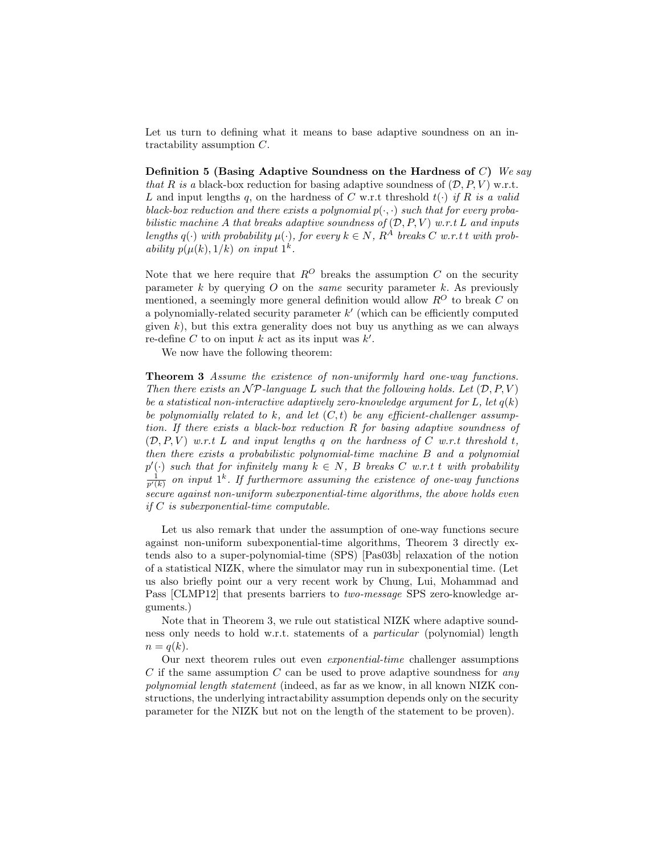Let us turn to defining what it means to base adaptive soundness on an intractability assumption C.

Definition 5 (Basing Adaptive Soundness on the Hardness of  $C$ ) We say that R is a black-box reduction for basing adaptive soundness of  $(D, P, V)$  w.r.t. L and input lengths q, on the hardness of C w.r.t threshold  $t(\cdot)$  if R is a valid black-box reduction and there exists a polynomial  $p(\cdot, \cdot)$  such that for every probabilistic machine A that breaks adaptive soundness of  $(D, P, V)$  w.r.t L and inputs lengths q(·) with probability  $\mu(\cdot)$ , for every  $k \in N$ ,  $R^A$  breaks C w.r.t t with probability  $p(\mu(k), 1/k)$  on input  $1^k$ .

Note that we here require that  $R^O$  breaks the assumption C on the security parameter k by querying  $O$  on the *same* security parameter k. As previously mentioned, a seemingly more general definition would allow  $R^O$  to break C on a polynomially-related security parameter  $k'$  (which can be efficiently computed given  $k$ ), but this extra generality does not buy us anything as we can always re-define C to on input k act as its input was  $k'$ .

We now have the following theorem:

Theorem 3 Assume the existence of non-uniformly hard one-way functions. Then there exists an NP-language L such that the following holds. Let  $(\mathcal{D}, P, V)$ be a statistical non-interactive adaptively zero-knowledge argument for  $L$ , let  $q(k)$ be polynomially related to k, and let  $(C, t)$  be any efficient-challenger assumption. If there exists a black-box reduction R for basing adaptive soundness of  $(D, P, V)$  w.r.t L and input lengths q on the hardness of C w.r.t threshold t, then there exists a probabilistic polynomial-time machine B and a polynomial  $p'(\cdot)$  such that for infinitely many  $k \in N$ , B breaks C w.r.t t with probability  $\frac{1}{p'(k)}$  on input 1<sup>k</sup>. If furthermore assuming the existence of one-way functions secure against non-uniform subexponential-time algorithms, the above holds even if C is subexponential-time computable.

Let us also remark that under the assumption of one-way functions secure against non-uniform subexponential-time algorithms, Theorem 3 directly extends also to a super-polynomial-time (SPS) [Pas03b] relaxation of the notion of a statistical NIZK, where the simulator may run in subexponential time. (Let us also briefly point our a very recent work by Chung, Lui, Mohammad and Pass [CLMP12] that presents barriers to two-message SPS zero-knowledge arguments.)

Note that in Theorem 3, we rule out statistical NIZK where adaptive soundness only needs to hold w.r.t. statements of a particular (polynomial) length  $n = q(k)$ .

Our next theorem rules out even exponential-time challenger assumptions C if the same assumption C can be used to prove adaptive soundness for any polynomial length statement (indeed, as far as we know, in all known NIZK constructions, the underlying intractability assumption depends only on the security parameter for the NIZK but not on the length of the statement to be proven).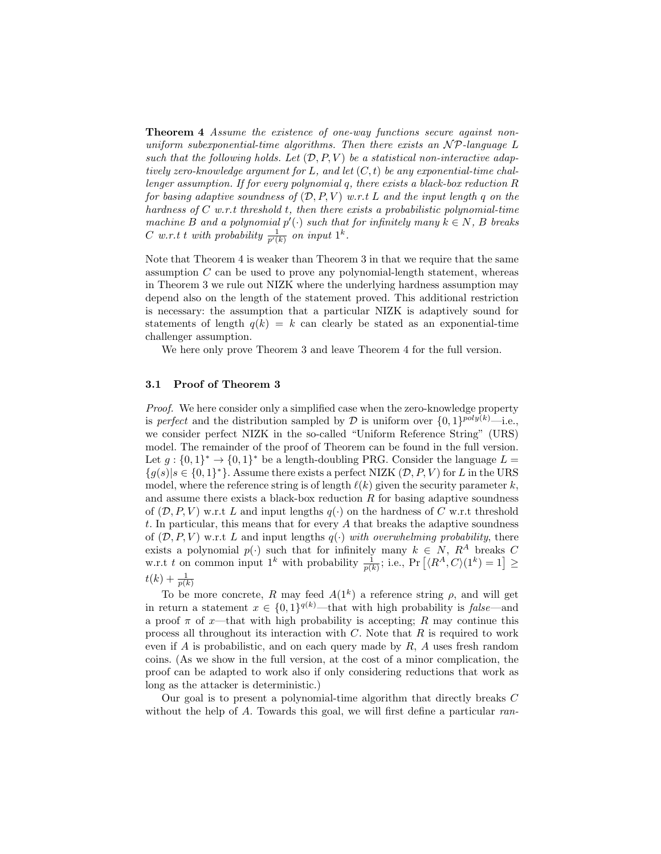Theorem 4 Assume the existence of one-way functions secure against nonuniform subexponential-time algorithms. Then there exists an  $\mathcal{NP}$ -language L such that the following holds. Let  $(D, P, V)$  be a statistical non-interactive adaptively zero-knowledge argument for L, and let  $(C, t)$  be any exponential-time challenger assumption. If for every polynomial q, there exists a black-box reduction R for basing adaptive soundness of  $(D, P, V)$  w.r.t L and the input length q on the hardness of  $C$  w.r.t threshold t, then there exists a probabilistic polynomial-time machine B and a polynomial  $p'(\cdot)$  such that for infinitely many  $k \in N$ , B breaks C w.r.t t with probability  $\frac{1}{p'(k)}$  on input  $1^k$ .

Note that Theorem 4 is weaker than Theorem 3 in that we require that the same assumption C can be used to prove any polynomial-length statement, whereas in Theorem 3 we rule out NIZK where the underlying hardness assumption may depend also on the length of the statement proved. This additional restriction is necessary: the assumption that a particular NIZK is adaptively sound for statements of length  $q(k) = k$  can clearly be stated as an exponential-time challenger assumption.

We here only prove Theorem 3 and leave Theorem 4 for the full version.

## 3.1 Proof of Theorem 3

Proof. We here consider only a simplified case when the zero-knowledge property is perfect and the distribution sampled by  $\mathcal D$  is uniform over  $\{0,1\}^{poly(k)}$ —i.e., we consider perfect NIZK in the so-called "Uniform Reference String" (URS) model. The remainder of the proof of Theorem can be found in the full version. Let  $g: \{0,1\}^* \to \{0,1\}^*$  be a length-doubling PRG. Consider the language  $L =$  ${g(s)|s \in \{0,1\}^*}$ . Assume there exists a perfect NIZK  $(D, P, V)$  for L in the URS model, where the reference string is of length  $\ell(k)$  given the security parameter k, and assume there exists a black-box reduction  $R$  for basing adaptive soundness of  $(\mathcal{D}, P, V)$  w.r.t L and input lengths  $q(.)$  on the hardness of C w.r.t threshold t. In particular, this means that for every  $A$  that breaks the adaptive soundness of  $(D, P, V)$  w.r.t L and input lengths  $q(\cdot)$  with overwhelming probability, there exists a polynomial  $p(\cdot)$  such that for infinitely many  $k \in N$ ,  $R^A$  breaks C w.r.t t on common input  $1^k$  with probability  $\frac{1}{p(k)}$ ; i.e., Pr  $\left[ \langle R^A, C \rangle (1^k) = 1 \right] \geq$  $t(k) + \frac{1}{p(k)}$ 

To be more concrete, R may feed  $A(1^k)$  a reference string  $\rho$ , and will get in return a statement  $x \in \{0,1\}^{q(k)}$ —that with high probability is false—and a proof  $\pi$  of x—that with high probability is accepting; R may continue this process all throughout its interaction with  $C$ . Note that  $R$  is required to work even if  $A$  is probabilistic, and on each query made by  $R$ ,  $A$  uses fresh random coins. (As we show in the full version, at the cost of a minor complication, the proof can be adapted to work also if only considering reductions that work as long as the attacker is deterministic.)

Our goal is to present a polynomial-time algorithm that directly breaks C without the help of A. Towards this goal, we will first define a particular  $ran$ -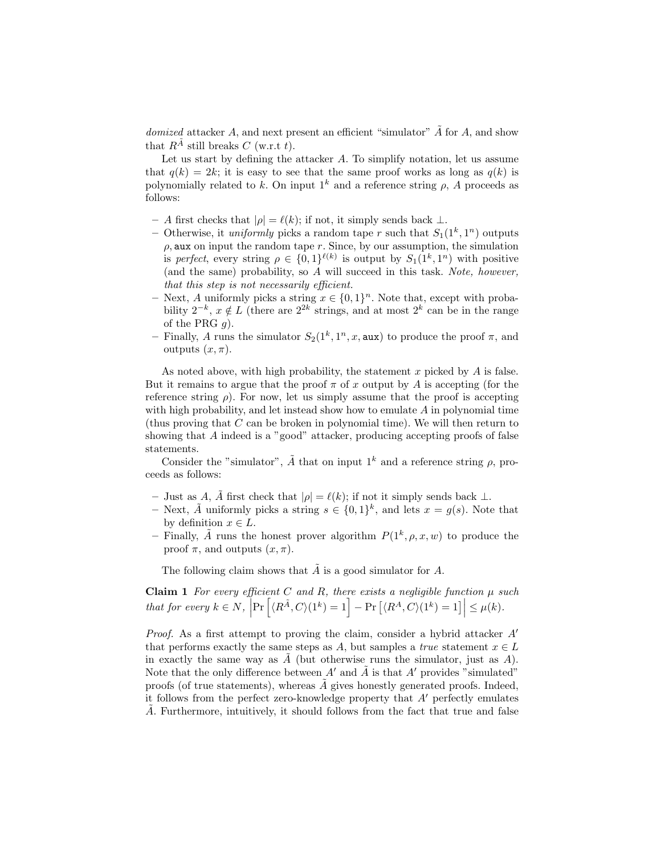*domized* attacker  $A$ , and next present an efficient "simulator"  $\tilde{A}$  for  $A$ , and show that  $R^{\tilde{A}}$  still breaks C (w.r.t t).

Let us start by defining the attacker A. To simplify notation, let us assume that  $q(k) = 2k$ ; it is easy to see that the same proof works as long as  $q(k)$  is polynomially related to k. On input  $1^k$  and a reference string  $\rho$ , A proceeds as follows:

- A first checks that  $|\rho| = \ell(k)$ ; if not, it simply sends back ⊥.
- Otherwise, it *uniformly* picks a random tape r such that  $S_1(1^k, 1^n)$  outputs  $\rho$ , aux on input the random tape r. Since, by our assumption, the simulation is perfect, every string  $\rho \in \{0,1\}^{\ell(k)}$  is output by  $S_1(1^k,1^n)$  with positive (and the same) probability, so A will succeed in this task. Note, however, that this step is not necessarily efficient.
- Next, A uniformly picks a string  $x \in \{0,1\}^n$ . Note that, except with probability  $2^{-k}$ ,  $x \notin L$  (there are  $2^{2k}$  strings, and at most  $2^k$  can be in the range of the PRG  $q$ ).
- Finally, A runs the simulator  $S_2(1^k, 1^n, x, \text{aux})$  to produce the proof  $\pi$ , and outputs  $(x, \pi)$ .

As noted above, with high probability, the statement  $x$  picked by  $A$  is false. But it remains to argue that the proof  $\pi$  of x output by A is accepting (for the reference string  $\rho$ ). For now, let us simply assume that the proof is accepting with high probability, and let instead show how to emulate  $A$  in polynomial time (thus proving that  $C$  can be broken in polynomial time). We will then return to showing that A indeed is a "good" attacker, producing accepting proofs of false statements.

Consider the "simulator",  $\tilde{A}$  that on input  $1^k$  and a reference string  $\rho$ , proceeds as follows:

- Just as A,  $\tilde{A}$  first check that  $|\rho| = \ell(k)$ ; if not it simply sends back ⊥.
- Next,  $\tilde{A}$  uniformly picks a string  $s \in \{0,1\}^k$ , and lets  $x = g(s)$ . Note that by definition  $x \in L$ .
- Finally,  $\tilde{A}$  runs the honest prover algorithm  $P(1^k, \rho, x, w)$  to produce the proof  $\pi$ , and outputs  $(x, \pi)$ .

The following claim shows that  $\tilde{A}$  is a good simulator for A.

**Claim 1** For every efficient C and R, there exists a negligible function 
$$
\mu
$$
 such that for every  $k \in N$ ,  $Pr\left[\langle R^{\tilde{A}}, C \rangle (1^k) = 1\right] - Pr\left[\langle R^A, C \rangle (1^k) = 1\right] \leq \mu(k)$ .

*Proof.* As a first attempt to proving the claim, consider a hybrid attacker  $A'$ that performs exactly the same steps as A, but samples a true statement  $x \in L$ in exactly the same way as  $\tilde{A}$  (but otherwise runs the simulator, just as  $A$ ). Note that the only difference between  $A'$  and  $A$  is that  $A'$  provides "simulated" proofs (of true statements), whereas  $A$  gives honestly generated proofs. Indeed, it follows from the perfect zero-knowledge property that  $A'$  perfectly emulates A. Furthermore, intuitively, it should follows from the fact that true and false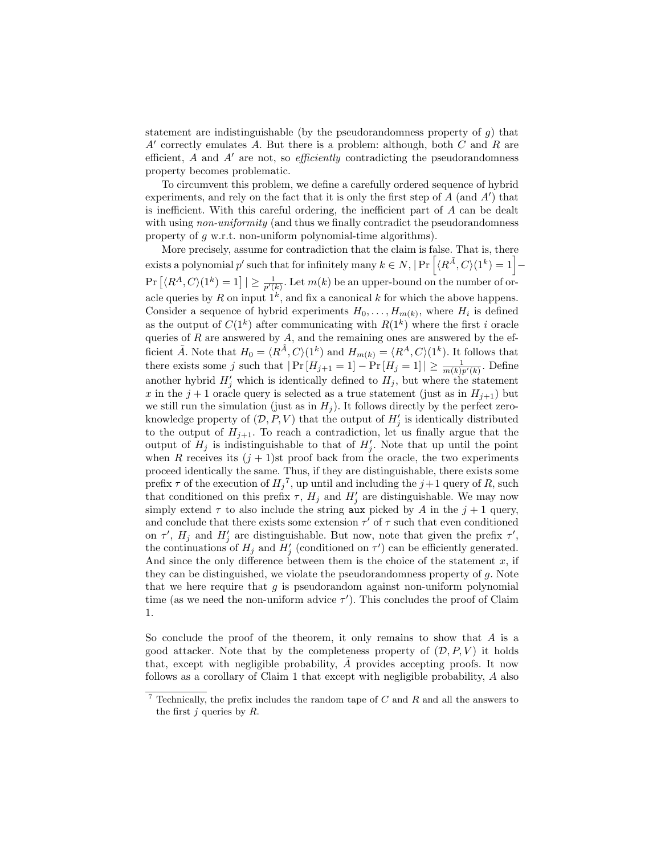statement are indistinguishable (by the pseudorandomness property of  $g$ ) that  $A'$  correctly emulates  $A$ . But there is a problem: although, both  $C$  and  $R$  are efficient,  $A$  and  $A'$  are not, so *efficiently* contradicting the pseudorandomness property becomes problematic.

To circumvent this problem, we define a carefully ordered sequence of hybrid experiments, and rely on the fact that it is only the first step of  $A$  (and  $A'$ ) that is inefficient. With this careful ordering, the inefficient part of A can be dealt with using *non-uniformity* (and thus we finally contradict the pseudorandomness property of g w.r.t. non-uniform polynomial-time algorithms).

More precisely, assume for contradiction that the claim is false. That is, there exists a polynomial  $p'$  such that for infinitely many  $k \in N$ ,  $|\Pr\left[\langle R^{\tilde{A}}, C \rangle (1^k) = 1\right] Pr\left[ \langle R^A, C \rangle (1^k) = 1 \right] | \geq \frac{1}{p'(k)}$ . Let  $m(k)$  be an upper-bound on the number of oracle queries by R on input  $1^k$ , and fix a canonical k for which the above happens. Consider a sequence of hybrid experiments  $H_0, \ldots, H_{m(k)}$ , where  $H_i$  is defined as the output of  $C(1^k)$  after communicating with  $R(1^k)$  where the first i oracle queries of  $R$  are answered by  $A$ , and the remaining ones are answered by the efficient  $\tilde{A}$ . Note that  $H_0 = \langle R^{\tilde{A}}, C \rangle (1^k)$  and  $H_{m(k)} = \langle R^A, C \rangle (1^k)$ . It follows that there exists some j such that  $|\Pr[H_{j+1} = 1] - \Pr[H_j = 1]| \ge \frac{1}{m(k)p'(k)}$ . Define another hybrid  $H'_{j}$  which is identically defined to  $H_{j}$ , but where the statement x in the  $j+1$  oracle query is selected as a true statement (just as in  $H_{j+1}$ ) but we still run the simulation (just as in  $H_j$ ). It follows directly by the perfect zeroknowledge property of  $(D, P, V)$  that the output of  $H'_{j}$  is identically distributed to the output of  $H_{j+1}$ . To reach a contradiction, let us finally argue that the output of  $H_j$  is indistinguishable to that of  $H'_j$ . Note that up until the point when R receives its  $(j + 1)$ st proof back from the oracle, the two experiments proceed identically the same. Thus, if they are distinguishable, there exists some prefix  $\tau$  of the execution of  $H_j^{\tau}$ , up until and including the  $j+1$  query of R, such that conditioned on this prefix  $\tau$ ,  $H_j$  and  $H'_j$  are distinguishable. We may now simply extend  $\tau$  to also include the string aux picked by A in the  $j+1$  query, and conclude that there exists some extension  $\tau'$  of  $\tau$  such that even conditioned on  $\tau'$ ,  $H_j$  and  $H'_j$  are distinguishable. But now, note that given the prefix  $\tau'$ , the continuations of  $H_j$  and  $H'_j$  (conditioned on  $\tau'$ ) can be efficiently generated. And since the only difference between them is the choice of the statement  $x$ , if they can be distinguished, we violate the pseudorandomness property of g. Note that we here require that  $g$  is pseudorandom against non-uniform polynomial time (as we need the non-uniform advice  $\tau'$ ). This concludes the proof of Claim 1.

So conclude the proof of the theorem, it only remains to show that  $A$  is a good attacker. Note that by the completeness property of  $(D, P, V)$  it holds that, except with negligible probability,  $A$  provides accepting proofs. It now follows as a corollary of Claim 1 that except with negligible probability, A also

 $7$  Technically, the prefix includes the random tape of  $C$  and  $R$  and all the answers to the first  $j$  queries by  $R$ .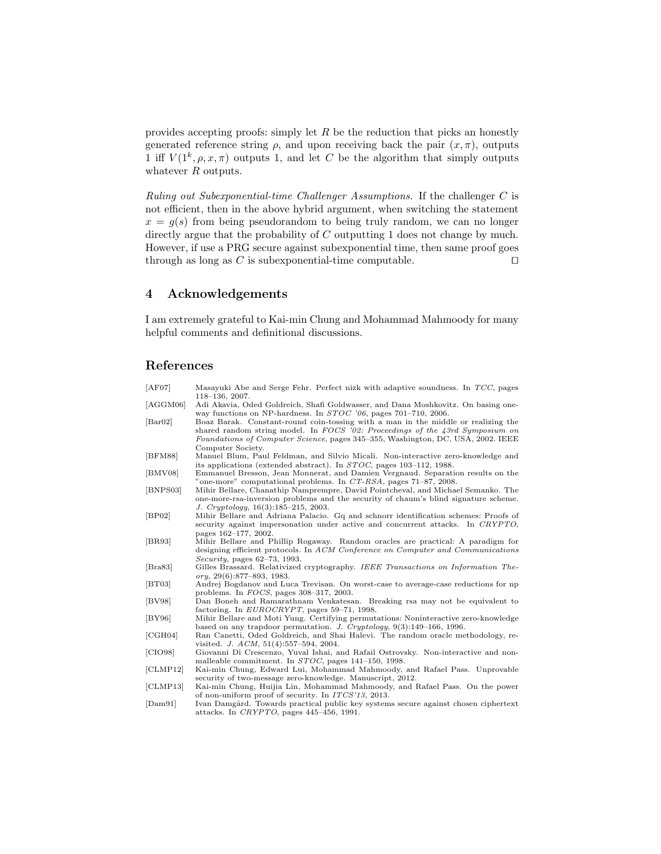provides accepting proofs: simply let  $R$  be the reduction that picks an honestly generated reference string  $\rho$ , and upon receiving back the pair  $(x, \pi)$ , outputs 1 iff  $V(1^k, \rho, x, \pi)$  outputs 1, and let C be the algorithm that simply outputs whatever  $R$  outputs.

Ruling out Subexponential-time Challenger Assumptions. If the challenger C is not efficient, then in the above hybrid argument, when switching the statement  $x = g(s)$  from being pseudorandom to being truly random, we can no longer directly argue that the probability of C outputting 1 does not change by much. However, if use a PRG secure against subexponential time, then same proof goes through as long as  $C$  is subexponential-time computable.  $\square$ 

## 4 Acknowledgements

I am extremely grateful to Kai-min Chung and Mohammad Mahmoody for many helpful comments and definitional discussions.

## References

| [AF07]                      | Masayuki Abe and Serge Fehr. Perfect nizk with adaptive soundness. In TCC, pages<br>$118 - 136$ , 2007.                                                                                                                                                                    |
|-----------------------------|----------------------------------------------------------------------------------------------------------------------------------------------------------------------------------------------------------------------------------------------------------------------------|
| [AGGM06]                    | Adi Akavia, Oded Goldreich, Shafi Goldwasser, and Dana Moshkovitz. On basing one-<br>way functions on NP-hardness. In $STOC$ '06, pages 701-710, 2006.                                                                                                                     |
| $\left[\text{Bar}02\right]$ | Boaz Barak. Constant-round coin-tossing with a man in the middle or realizing the<br>shared random string model. In FOCS '02: Proceedings of the 43rd Symposium on<br>Foundations of Computer Science, pages 345–355, Washington, DC, USA, 2002. IEEE<br>Computer Society. |
| [BFM88]                     | Manuel Blum, Paul Feldman, and Silvio Micali. Non-interactive zero-knowledge and<br>its applications (extended abstract). In $STOC$ , pages 103-112, 1988.                                                                                                                 |
| [BMV08]                     | Emmanuel Bresson, Jean Monnerat, and Damien Vergnaud. Separation results on the<br>"one-more" computational problems. In $CT-RSA$ , pages 71–87, 2008.                                                                                                                     |
| [BNPS03]                    | Mihir Bellare, Chanathip Namprempre, David Pointcheval, and Michael Semanko. The<br>one-more-rsa-inversion problems and the security of chaum's blind signature scheme.<br>J. Cryptology, 16(3):185-215, 2003.                                                             |
| [BP02]                      | Mihir Bellare and Adriana Palacio. Gq and schnorr identification schemes: Proofs of<br>security against impersonation under active and concurrent attacks. In CRYPTO,<br>pages 162-177, 2002.                                                                              |
| [BR93]                      | Mihir Bellare and Phillip Rogaway. Random oracles are practical: A paradigm for<br>designing efficient protocols. In ACM Conference on Computer and Communications<br>Security, pages $62-73$ , 1993.                                                                      |
| $\left[\text{Bra}83\right]$ | Gilles Brassard. Relativized cryptography. IEEE Transactions on Information The-<br>ory, $29(6)$ :877–893, 1983.                                                                                                                                                           |
| [BT03]                      | Andrej Bogdanov and Luca Trevisan. On worst-case to average-case reductions for np<br>problems. In $FOCS$ , pages 308-317, 2003.                                                                                                                                           |
| [BV98]                      | Dan Boneh and Ramarathnam Venkatesan. Breaking rsa may not be equivalent to<br>factoring. In $EUROCRYPT$ , pages 59–71, 1998.                                                                                                                                              |
| [BY96]                      | Mihir Bellare and Moti Yung. Certifying permutations: Noninteractive zero-knowledge<br>based on any trapdoor permutation. J. Cryptology, $9(3):149-166$ , 1996.                                                                                                            |
| [CGH04]                     | Ran Canetti, Oded Goldreich, and Shai Halevi. The random oracle methodology, re-<br>visited. J. ACM, 51(4):557-594, 2004.                                                                                                                                                  |
| [CIO98]                     | Giovanni Di Crescenzo, Yuval Ishai, and Rafail Ostrovsky. Non-interactive and non-<br>malleable commitment. In $STOC$ , pages 141-150, 1998.                                                                                                                               |
| [CLMP12]                    | Kai-min Chung, Edward Lui, Mohammad Mahmoody, and Rafael Pass. Unprovable<br>security of two-message zero-knowledge. Manuscript, 2012.                                                                                                                                     |
| [CLMP13]                    | Kai-min Chung, Huijia Lin, Mohammad Mahmoody, and Rafael Pass. On the power<br>of non-uniform proof of security. In <i>ITCS'13</i> , 2013.                                                                                                                                 |
| [Dam91]                     | Ivan Damgård. Towards practical public key systems secure against chosen ciphertext<br>attacks. In $CRYPTO$ , pages 445-456, 1991.                                                                                                                                         |